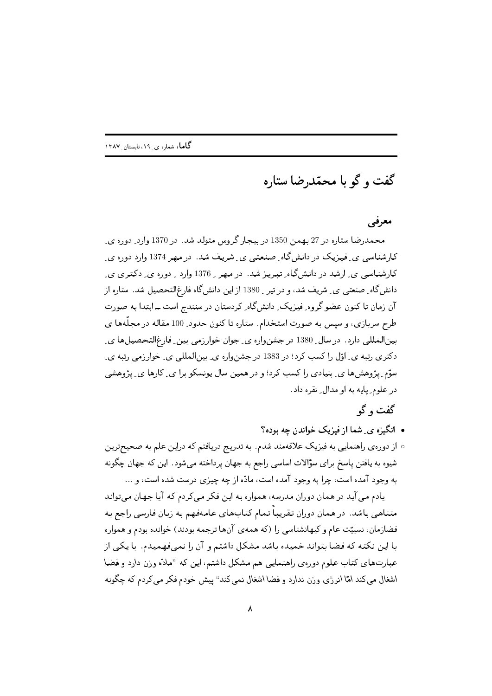گفت و گو با محمّدرضا ستاره

## معرفی

محمدرضا ستاره در 27 بهمن 1350 در بیجار گروس متولد شد. در 1370 وارد ِ دوره ی کارشناسی پی فیزیک در دانش گاه صنعتبی پی شریف شد. در مهر 1374 وارد دوره ی کارشناسی ی ِ ارشد در دانشگاه ِ تبریز شد. در مهر ـ 1376 وارد ـ دوره ی ِ دکتری ی دانش گاه ِ صنعتی ی ِ شریف شد، و در تیر ۱380 از این دانش گاه فارغالتحصیل شد. ستاره از آن زمان تا کنون عضو گروه ِ فیزیک ِ دانش گاه ِ کردستان در سنندج است ــ ابتدا به صورت طرح سربازی، و سپس به صورت استخدام. ستاره تا کنون حدود 100 مقاله در مجلَّهها ی بینالمللی دارد. در سال ِ 1380 در جشنواره ی ِ جوان خوارزمی بین ِ فارغالتحصیلها ی ِ دکتری رتبه ی ِ اوّل را کسب کرد؛ در 1383 در جشنواره ی ِ بینالمللی ی ِ خوارزمی رتبه ی ِ سوّم پژوهش ها ی ِ بنیادی را کسب کرد؛ و در همین سال پونسکو برا ی ِ کارها ی ِ پژوهشی در علوم ِ پایه به او مدال ِ نقره داد.

## گفت و گو

- انگیزه ی ِ شما از فیزیک خواندن چه بوده؟
- از دورهي راهنمايي به فيزيک علاقهمند شدم. به تدريج دريافتم که دراين علم به صحيحترين شیوه به یافتن پاسخ برای سؤالات اساسی راجع به جهان پرداخته میشود. این که جهان چگونه به وجود آمده است، چرا به وجود آمده است، مادّه از چه چیزی درست شده است، و ...

یادم می آید در همان دوران مدرسه، همواره به این فکر می کردم که آیا جهان می تواند متناهی باشد. در همان دوران تقریباً تمام کتابهای عامهفهم به زبان فارسی راجع به فضازمان، نسبیّت عام وکیهانشناسی را (که همهی آنها ترجمه بودند) خوانده بودم و همواره با این نکته که فضا بتواند خمیده باشد مشکل داشتم و آن را نمیفهمیدم. با یکی از عبارتهای کتاب علوم دوروی راهنمایی هم مشکل داشتم، این که "مادّه وزن دارد و فضا اشغال مي كند امّا انرژي وزن ندارد و فضا اشغال نمي كند" پيش خودم فكر مي كردم كه چگونه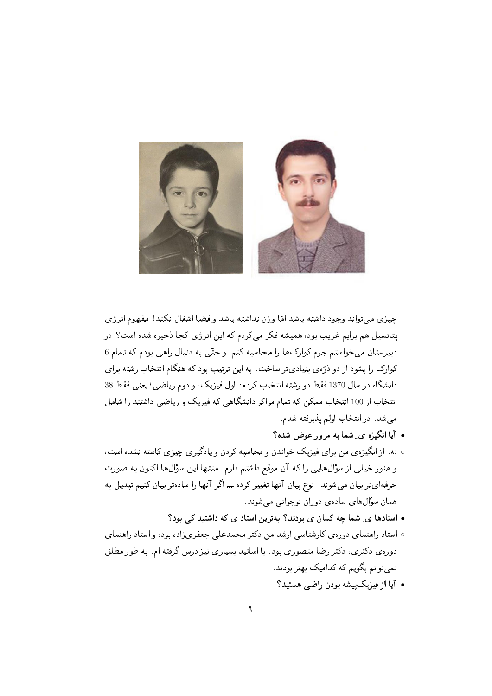

چیزی می تواند وجود داشته باشد امّا وزن نداشته باشد و فضا اشغال نکند! مفهوم انرژی یتانسیل هم برایم غریب بود، همیشه فکر میکردم که این انرژی کجا ذخیره شده است؟ در دبیرستان می خواستم جرم کوارک ها را محاسبه کنم، و حتّی به دنبال راهی بودم که تمام 6 کوارک را بشود از دو ذرّهى بنيادىتر ساخت. به اين ترتيب بود که هنگام انتخاب رشته براى دانشگاه در سال 1370 فقط دو رشته انتخاب کردم: اول فیزیک، و دوم ریاضی؛ یعنی فقط 38 انتخاب از 100 انتخاب ممکن که تمام مراکز دانشگاهی که فیزیک و ریاضی داشتند را شامل می شد. در انتخاب اولم پذیرفته شدم.

- آیا انگیزه ی ِ شما به مرور عوض شده؟
- نه. از انگیزهی من برای فیزیک خواندن و محاسبه کردن و یادگیری چیزی کاسته نشده است، و هنوز خیلبی از سؤالهایبی را که آن موقع داشتم دارم. منتها این سؤال ها اکنون به صورت حرفهایتر بیان می شوند. نوع بیان آنها تغییر کرده ـــ اگر آنها را سادهتر بیان کنیم تبدیل به همان سؤالهای سادهی دوران نوجوانی میشوند.
	- استادها ی ِ شما چه کسان ی بودند؟ بهترین استاد ی که داشتید کی بود؟
- ه استاد راهنمای دورهی کارشناسی ارشد من دکتر محمدعلی جعفریزاده بود، واستاد راهنمای دورهی دکتری، دکتر رضا منصوری بود. با اساتید بسیاری نیز درس گرفته ام. به طور مطلق نمي توانم بگويم كه كداميك بهتر بودند.
	- آیا از فیزیک پیشه بودن راضی هستید؟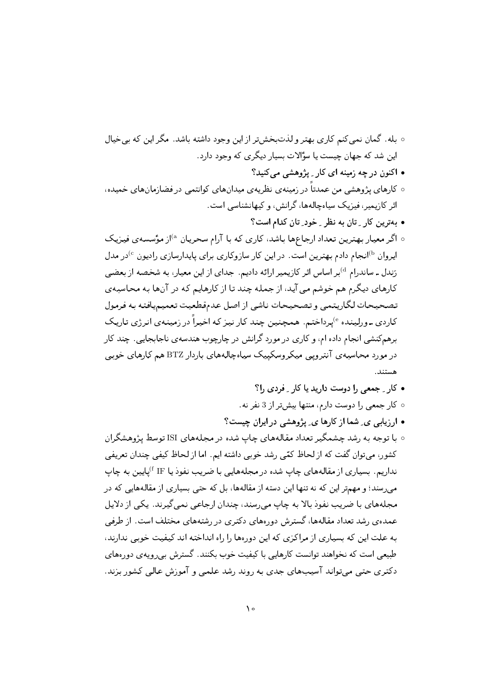- بله. گمان نمی کنم کاری بهتر ولذتبخشتر از این وجود داشته باشد. مگر این که بی خیال این شد که جهان چیست یا سؤالات بسیار دیگری که وجود دارد.
	- اکنون در چه زمینه ای کار ِ پژوهشی می کنید؟
- کارهای پژوهشی من عمدتاً در زمینهی نظریهی میدانهای کوانتمی در فضازمانهای خمیده، اثر کازیمیر ، فیزیک سیاه چالهها، گرانش ، و کیهانشناسی است.
	- بهترین کار \_ تان به نظر \_ خود\_ تان کدام است؟
- ه اگر معیار بهترین تعداد ارجاعها باشد، کاری که با آرام سحریان <sup>۵</sup>از مؤسسهی فیزیک اپروان <sup>ره)</sup>انجام دادم بهترین است. در این کار سازوکاری برای پایدارسازی رادیون <sup>6</sup>در مدل رَندل ـ ساندرام <sup>4)</sup>بر اساس اثر كازيمير ارائه داديم. جداي از اين معيار، به شخصه از بعضي کارهای دیگرم هم خوشم می آید، از جمله چند تا از کارهایم که در آنها به محاسبهی تصحيحات لكاريتمي وتصحيحات ناشى ازاصل عدمقطعيت تعميميافته به فرمول کاردي ــ ورلينده <sup>6</sup>يرداختم. همچنين چند کار نيز که اخيراً در زمينهي انرژي تاريک برهم کنشی انجام داده ام، و کاری در مورد گرانش در چارچوب هندسهی ناجابجایی. چند کار در مورد محاسبه ی آنترویبی میکروسکیپک سیاهچالههای باردار BTZ هم کارهای خوبی هستند.
	- کار ِ جمعی را دوست دارید یا کار ِ فردی را؟
	- ه کار جمعی را دوست دارم، منتها بیشتر از 3 نفر نه.
	- ارزیابی ی ِ شما از کارها ی ِ پژوهشی در ایران چیست؟
- ۰ با توجه به رشد چشمگیر تعداد مقالههای چاپ شده در مجلههای ISI توسط پژوهشگران کشور، می توان گفت که از لحاظ کمّی رشد خوبی داشته ایم. اما از لحاظ کیفی چندان تعریفی نداریم. بسیاری از مقالههای چاپ شده در مجلههایی با ضریب نفوذ یا IF <sup>پ</sup>اپایین به چاپ می رسند؛ و مهمتر این که نه تنها این دسته از مقالهها، بل که حتی بسیاری از مقالههایی که در مجلههای با ضریب نفوذ بالا به چاپ می رسند، چندان ارجاعی نمی گیرند. یکی از دلایل عمدهی رشد تعداد مقالهها، گسترش دورههای دکتری در رشتههای مختلف است. از طرفی به علت این که بسیاری از مراکزی که این دورهها را راه انداخته اند کیفیت خوبی ندارند، طبیعی است که نخواهند توانست کارهایی با کیفیت خوب بکنند. گسترش بی رویه ی دورههای دکتری حتبی می تواند آسیبهای جدی به روند رشد علمی و آموزش عالی کشور بزند.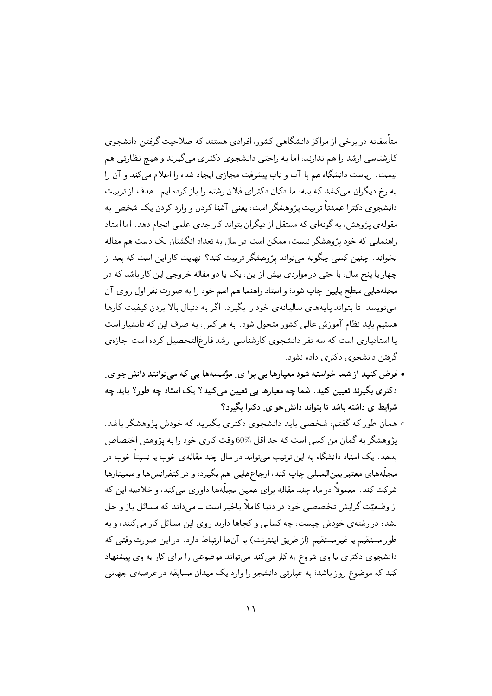متأسفانه در برخی از مراکز دانشگاهی کشور، افرادی هستند که صلاحیت گرفتن دانشجوی کارشناسی ارشد را هم ندارند، اما به راحتی دانشجوی دکتری می گیرند و هیچ نظارتی هم نیست. ریاست دانشگاه هم با آب و تاب پیشرفت مجازی ایجاد شده را اعلام می کند و آن را به رخ دیگران میکشد که بله، ما دکان دکترای فلان رشته را باز کرده ایم. هدف از تربیت دانشجوی دکترا عمدتاً تربیت پژوهشگر است، یعنبی آشنا کردن و وارد کردن یک شخص به مقوله ی پژوهش، به گونهای که مستقل از دیگران بتواند کار جدی علمی انجام دهد. اما استاد راهنمایی که خود پژوهشگر نیست، ممکن است در سال به تعداد انگشتان یک دست هم مقاله نخواند. چنین کسی چگونه میتواند پژوهشگر تربیت کند؟ نهایت کار این است که بعد از چهار یا پنج سال، یا حتبی در مواردی بیش از این، یک یا دو مقاله خروجی این کار باشد که در مجلههايي سطح پايين چاپ شود؛ واستاد راهنما هم اسم خود را به صورت نفر اول روي آن می نویسد، تا بتواند پایههای سالیانهی خود را بگیرد. اگر به دنبال بالا بردن کیفیت کارها هستیم باید نظام آموزش عالی کشور متحول شود. به هر کس، به صرف این که دانشیار است یا استادیاری است که سه نفر دانشجوی کارشناسی ارشد فارغالتحصیل کرده است اجازهی گرفتن دانشجوی دکتری داده نشود.

- فرض کنید از شما خواسته شود معیارها یی برا ی ِ مؤسسهها یی که میتوانند دانشجو ی ِ دکتری بگیرند تعیین کنید. شما چه معیارها یی تعیین می کنید؟ یک استاد چه طور؟ باید چه شرایط ی داشته باشد تا بتواند دانش جو ی ِ دکترا بگیرد؟
- همان طور که گفتم، شخصی باید دانشجوی دکتری بگیرید که خودش پژوهشگر باشد. يژوهشگر به گمان من كسى است كه حد اقل %60 وقت كارى خود را به پژوهش اختصاص بدهد. یک استاد دانشگاه به این ترتیب میتواند در سال چند مقالهی خوب یا نسبتاً خوب در مجلَّههاي معتبر بينالمللي چاپ كند، ارجاعهايي هم بگيرد، و در كنفرانسها وسمينارها شرکت کند. معمولاً در ماه چند مقاله برای همین مجلَّهها داوری میکند، و خلاصه این که از وضعیّت گرایش تخصصی خود در دنیا کاملاً باخبر است ــ می داند که مسائل باز و حل نشده در رشته ی خودش چیست، چه کسانی و کجاها دارند روی این مسائل کار می کنند، و به طور مستقیم یا غیرمستقیم (از طریق اینترنت) با آنها ارتباط دارد. در این صورت وقتبی که دانشجوی دکتری با وی شروع به کار میکند میتواند موضوعی را برای کار به وی پیشنهاد کند که موضوع روز باشد؛ به عبارتی دانشجو را وارد یک میدان مسابقه در عرصه ی جهانی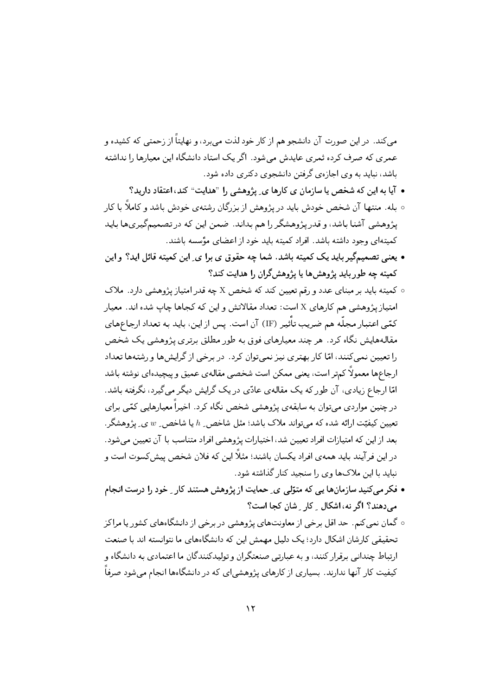میکند. در این صورت آن دانشجو هم از کار خود لذت می برد، و نهایتاً از زحمتی که کشیده و عمری که صرف کرده ثمری عایدش می شود. اگر یک استاد دانشگاه این معیارها را نداشته باشد، نباید به وی اجازهی گرفتن دانشجوی دکتری داده شود.

- آیا به این که شخص یا سازمان ی کارها ی ِ پژوهشی را "هدایت" کند، اعتقاد دارید؟
- بله. منتها آن شخص خودش باید در پژوهش از بزرگان رشتهی خودش باشد و کاملاً با کار پژوهشی آشنا باشد، و قدر پژوهشگر را هم بداند. ضمن این که در تصمیمگیریها باید كميتهاى وجود داشته باشد. افراد كميته بايد خود از اعضاى مؤسسه باشند.
- یعنبی تصمیمگیر باید یک کمیته باشد. شما چه حقوق ی برا ی ِ این کمیته قائل اید؟ و این کمیته چه طور باید پژوهش ها یا پژوهش گران را هدایت کند؟
- کمیته باید بر مبنای عدد و رقم تعیین کند که شخص X چه قدر امتیاز پژوهشی دارد. ملاک امتیازپژوهشی هم کارهای X است: تعداد مقالاتش و این که کجاها چاپ شده اند. معیار کمّی اعتبار مجلّه هم ضریب تأثیر (IF) آن است. پس از این، باید به تعداد ارجاعهای مقالههایش نگاه کرد. هر چند معیارهای فوق به طور مطلق برتری پژوهشی یک شخص را تعیین نمی کنند، امّا کار بهتری نیز نمی توان کرد. در برخی از گرایش ها و رشتهها تعداد ارجاعها معمولاً كمتر است، يعني ممكن است شخصي مقاله ي عميق وييچيدهاي نوشته باشد امّا ارجاع زیادی، آن طور که یک مقالهی عادّی در یک گرایش دیگر می گیرد، نگرفته باشد. در چنین مواردی می;توان به سابقهی پژوهشی شخص نگاه کرد. اخیراً معیارهایی کمّی برای تعیین کیفیّت ارائه شده که می تواند ملاک باشد؛ مثل شاخص ِ  $h$  یا شاخص ِ  $w$  ی ِ پژوهشگر ِ . بعد از این که امتیازات افراد تعیین شد، اختیارات پژوهشی افراد متناسب با آن تعیین می شود. در این فرآیند باید همهی افراد یکسان باشند؛ مثلاً این که فلان شخص پیش کسوت است و نباید با این ملاکها وی را سنجید کنار گذاشته شود.
- فکر میکنید سازمانها یی که متوّلی ی ِ حمایت از پژوهش هستند کار ِ خود را درست انجام مے دھند؟ اگر نه، اشکال - کار - شان کجا است؟
- ه گمان نمی کنم. حد اقل برخی از معاونتهای پژوهشی در برخی از دانشگاههای کشور یا مراکز تحقیقی کارشان اشکال دارد؛ یک دلیل مهمش این که دانشگاههای ما نتوانسته اند با صنعت ارتباط چندانی برقرار کنند، و به عبارتی صنعتگران و تولیدکنندگان ما اعتمادی به دانشگاه و کیفیت کار آنها ندارند. بسیاری از کارهای پژوهشیای که در دانشگاهها انجام میشود صرفاً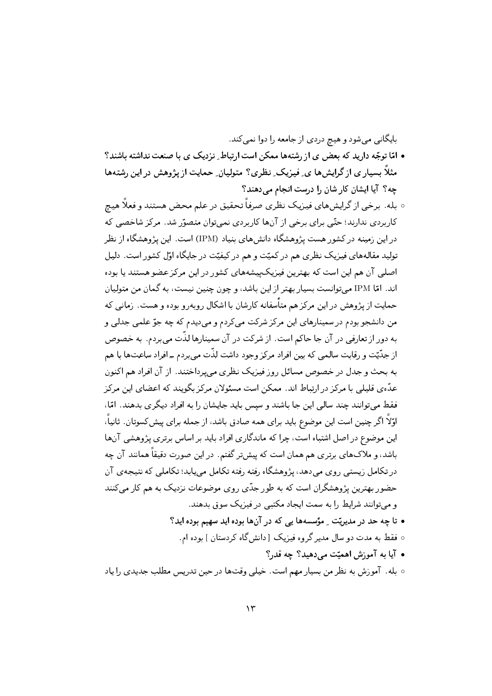بایگانی میشود و هیچ دردی از جامعه را دوا نمی کند.

- امّا توجّه دارید که بعض ی از رشتهها ممکن است ارتباط ِ نزدیک ی با صنعت نداشته باشند؟ مثلاً بسیار ی از گرایش ها ی ِ فیزیک ِ نظری؟ متولیان ِ حمایت از پژوهش در این رشتهها چه؟ آیا ایشان کار شان را درست انجام می دهند؟
- ۰ بله. برخی از گرایشهای فیزیک نظری صرفاً تحقیق در علم محض هستند و فعلًا هیچ کاربردی ندارند؛ حتّی برای برخی از آنها کاربردی نمی;توان متصوّر شد. مرکز شاخصی که در این زمینه در کشور هست پژوهشگاه دانشهای بنیاد (IPM) است. این پژوهشگاه از نظر تولید مقالههای فیزیک نظری هم در کمیّت و هم در کیفیّت در جایگاه اوّل کشور است. دلیل اصلي آن هم اين است كه بهترين فيزيك ييشههاي كشور در اين مركز عضو هستند يا بوده اند. امّا IPM می توانست بسیار بهتر از این باشد، و چون چنین نیست، به گمان من متولیان حمایت از پژوهش در این مرکز هم متأسفانه کارشان با اشکال روبهرو بوده و هست. زمانی که من دانشجو بودم در سمینارهای این مرکز شرکت می کردم و می دیدم که چه جوّ علمی جدلی و به دور از تعارفی در آن جا حاکم است. از شرکت در آن سمینارها لذّت می بردم. به خصوص از جدَّيّت و رقابت سالمي كه بين افراد مركز وجود داشت لذَّت مي بردم ــ افراد ساعتها با هم به بحث و جدل در خصوص مسائل روز فیزیک نظری می پرداختند. از آن افراد هم اکنون عدّهی قلیلی با مرکز در ارتباط اند. ممکن است مسئولان مرکز بگویند که اعضای این مرکز فقط میتوانند چند سالبی این جا باشند و سپس باید جایشان را به افراد دیگری بدهند. امّا، اوّلاً اگر چنین است این موضوع باید برای همه صادق باشد، از جمله برای پیش2سوتان. ثانیاً، این موضوع در اصل اشتباه است، چرا که ماندگاری افراد باید بر اساس برتری پژوهشی آنها باشد، و ملاکهای برتری هم همان است که پیش تر گفتم. در این صورت دقیقاً همانند آن چه در تکامل زیستبی روی مبی دهد، پژوهشگاه رفته رفته تکامل مبی بابد؛ تکاملبی که نتیجه ی آن حضور بهترین پژوهشگران است که به طور جدّی روی موضوعات نزدیک به هم کار می کنند و می توانند شرایط را به سمت ایجاد مکتبی در فیزیک سوق بدهند. • تا چه حد در مدیریّت - مؤسسهها یی که در آنها بوده اید سهیم بوده اید؟
	- فقط به مدت دو سال مدیر گر وه فیزیک [دانش گاه کردستان ] بوده ام.
		- آیا به آموزش اهمیّت مے رهید؟ چه قدر؟

○ بله. آموزش به نظر من بسیار مهم است. خیلی وقتها در حین تدریس مطلب جدیدی را یاد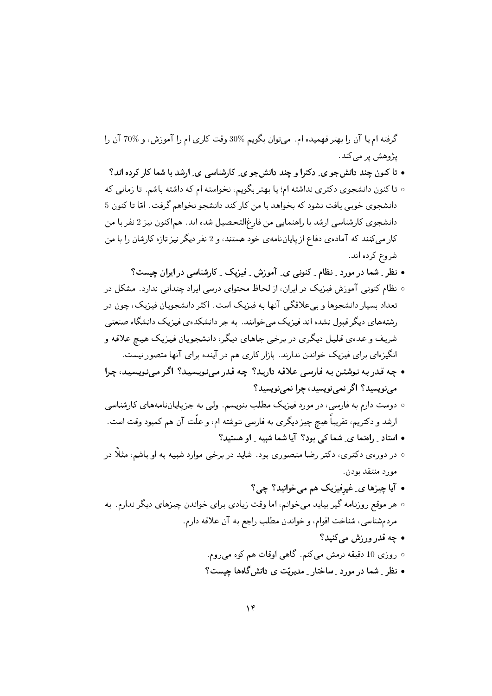گرفته ام یا آن را بهتر فهمیده ام. می توان بگویم %30 وقت کاری ام را آموزش، و %70 آن را پژوهش پر مې کند.

- تا کنون چند دانش جو ی ِ دکترا و چند دانش جو ی ِ کارشناسی ی ِ ارشد با شما کار کرده اند؟
- تا کنون دانشجوی دکتری نداشته ام؛ یا بهتر بگویم، نخواسته ام که داشته باشم. تا زمانی که دانشجوي خوبي يافت نشود كه بخواهد با من كار كند دانشجو نخواهم گرفت. امّا تا كنون 5 دانشجوی کارشناسی ارشد با راهنمایی من فارغ|لتحصیل شده اند. هماکنون نیز 2 نفر با من کار می کنند که آماده ی دفاع از پایانِ نامه ی خود هستند، و 2 نفر دیگر نیز تازه کارشان را با من شر وع کرده اند.
	- نظر ِ شما در مورد ِ نظام ِ کنونی ی ِ آموزش ِ فِیزیک ِ کارشناسی در ایران چیست؟
- نظام کنونی آموزش فیزیک در ایران، از لحاظ محتوای درسی ایراد چندانی ندارد. مشکل در تعداد بسیار دانشجوها و ببیعلاقگی آنها به فیزیک است. اکثر دانشجویان فیزیک، چون در ,شتههای دیگر قبول نشده اند فیزیک می خوانند. به جر دانشکدهی فیزیک دانشگاه صنعتی شریف و عدهی قلیل دیگری در برخی جاهای دیگر، دانشجویان فیزیک هیچ علاقه و انگیزهای برای فیزیک خواندن ندارند. بازار کاری هم در آینده برای آنها متصور نیست.
- چه قدر به نوشتن به فارسی علاقه دارید؟ چه قدر می نویسید؟ اگر می نویسید، چرا می نویسید؟ اگر نمی نویسید، چرا نمی نویسید؟
- دوست دارم به فارسی، در مورد فیزیک مطلب بنویسم. ولپی به جزپایاننامههای کارشناسی ارشد و دکتریم، تقریباً هیچ چیز دیگری به فارسی ننوشته ام، و علّت آن هم کمبود وقت است. • استاد ِ راهنما ی ِ شما کی بود؟ آیا شما شبیه ِ او هستید؟
- ۰ در دورهی دکتری، دکتر رضا منصوری بود. شاید در برخی موارد شبیه به او باشم، مثلاً در مورد منتقد بودن.
	- آيا ڇيزها ي غيرفيزيک هم مي خوانيد؟ ڇي؟
- هر موقع روزنامه گیر بیاید میخوانم، اما وقت زیادی برای خواندن چیزهای دیگر ندارم. به مردم شناسي، شناخت اقوام، و خواندن مطلب راجع به آن علاقه دارم.
	- چه قدر ورزش مے کنید؟
	- روزي 10 دقيقه نرمش ميكنم. گاهي اوقات هم كوه ميروم.
	- نظر ِ شما در مورد ِ ساختار ِ مدیریّت ی دانشگاهها چیست؟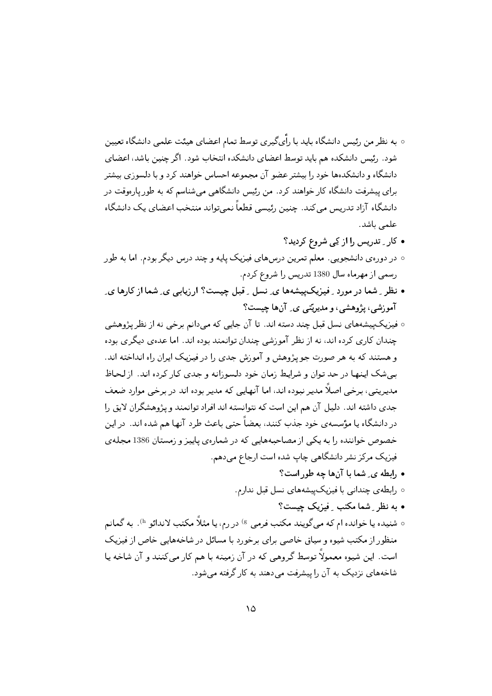- به نظر من رئیس دانشگاه باید با راًیگیری توسط تمام اعضای هیئت علمی دانشگاه تعیین شود. رئیس دانشکده هم باید توسط اعضای دانشکده انتخاب شود. اگر چنین باشد، اعضای دانشگاه و دانشکدهها خود را بیشتر عضو آن مجموعه احساس خواهند کرد و با دلسوزی بیشتر برای پیشرفت دانشگاه کار خواهند کرد. من رئیس دانشگاهی می شناسم که به طور پارهوقت در دانشگاه آزاد تدریس می کند. چنین رئیسی قطعاً نمی تواند منتخب اعضای یک دانشگاه علمی باشد.
	- کار ِ تدریس را از کِی شروع کردید؟
- در دورهي دانشجوييي. معلم تمرين درسهاي فيزيک پايه و چند درس ديگر بودم. اما به طور رسمی از مهرماه سال 1380 تدریس را شروع کردم.
- نظر ِ شما در مورد ِ فیزیک پیشهها ی ِ نسل ِ قبل چیست؟ ارزیابی ی ِ شما از کارها ی ِ آموزشی، پژوهشی، و مدیریّتبی ی ِ آنها چیست؟
- فیبزیکییشههای نسل قبل چند دسته اند. تا آن جایی که میدانم برخی نه از نظر پژوهشی چندان کاری کرده اند، نه از نظر آموزشی چندان توانمند بوده اند. اما عدهی دیگری بوده و هستند که به هر صورت جویژوهش و آموزش جدی را در فیزیک ایران راه انداخته اند. بم شک اینها در حد توان و شرایط زمان خود دلسوزانه و جدی کار کرده اند. از لحاظ مديريتي، برخي اصلًا مدير نبوده اند، اما آنهايي كه مدير بوده اند در برخي موارد ضعف جدی داشته اند. دلیل آن هم این است که نتوانسته اند افراد توانمند و پژوهشگران لایق را در دانشگاه یا مؤسسه ی خود جذب کنند، بعضاً حتبی باعث طرد آنها هم شده اند. در این خصوص خواننده را به یکی از مصاحبههایی که در شمارهی پاییز و زمستان 1386 مجلهی فیزیک مرکز نشر دانشگاهی چاپ شده است ارجاع میدهم.
	- رابطه ی ِ شما با آنها چه طوراست؟
	- رابطهی چندانی با فیزیکییشههای نسل قبل ندارم.
		- به نظر ِ شما مکتب ِ فیزیک چیست؟
- ٥ شنيده يا خوانده ام كه مي گويند مكتب فرمي <sup>g)</sup> در رم، يا مثلاً مكتب لاندائو <sup>h)</sup>. به گمانم منظور از مکتب شیوه و سیاق خاصبی برای برخورد با مسائل در شاخههایی خاص از فیزیک است. این شیوه معمولاً توسط گروهی که در آن زمینه با هم کار می کنند و آن شاخه یا شاخههای نزدیک به آن را پیشرفت می دهند به کار گرفته می شود.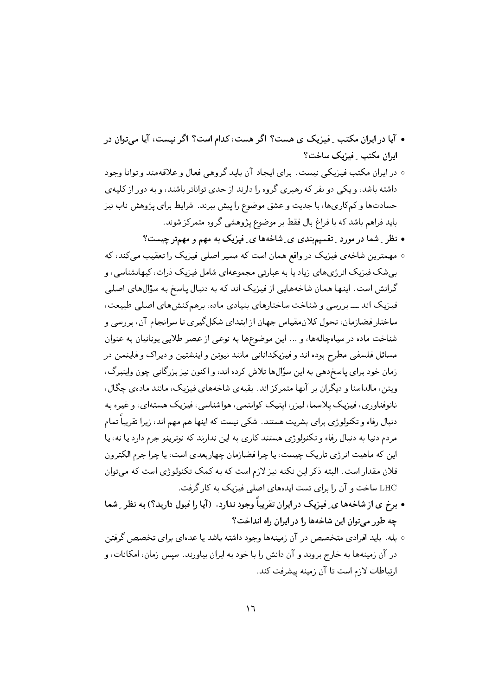- آیا در ایران مکتب ِ فیزیک ی هست؟ اگر هست، کدام است؟ اگر نیست، آیا می توان در ایران مکتب \_ فیزیک ساخت؟
- در ايران مكتب فيزيكي نيست. براي ايجاد آن بايد گروهي فعال و علاقهمند و توانا وجود داشته باشد، و یکی دو نفر که رهبری گر وه را دارند از حدی تواناتر باشند، و به دور از کلیهی حسادتها و کمکاریها، با جدیت و عشق موضوع را پیش ببرند. شرایط برای پژوهش ناب نیز باید فراهم باشد که با فراغ بال فقط بر موضوع پژوهشی گروه متمرکز شوند.
	- نظر ِ شما در مورد ِ تقسیم٬ندی ی ِ شاخهها ی ِ فیزیک به مهم و مهمتر چیست؟
- مهمترین شاخهی فیزیک در واقع همان است که مسیر اصلی فیزیک را تعقیب می کند، که بے شک فیزیک انر ژی های زیاد یا به عبارتی مجموعهای شامل فیزیک ذرات، کیهانشناسی، و گرانش است. اینها همان شاخههایی از فیزیک اند که به دنبال یاسخ به سؤالهای اصلی فیزیک اند ـــ بر رسی و شناخت ساختارهای بنیادی ماده، برهم کنش های اصلی طبیعت، ساختار فضازمان، تحول کلان مقیاس جهان از ابتدای شکل گیری تا سرانجام آن، بر رسی و شناخت ماده در سیاهچالهها، و ... این موضوعها به نوعبی از عصر طلایبی یونانیان به عنوان مسائل فلسفى مطرح بوده اند وفيزيكداناني مانند نيوتن واينشتين و ديراك و فاينمن در زمان خود برای پاسخ دهی به این سؤال ها تلاش کرده اند، و اکنون نیز بزرگانی چون واینبرگ، ویتن ، مالداسنا و دیگران بر آنها متمرکز اند. بقیهی شاخههای فیزیک ، مانند مادهی چگال ، نانوفناوري، فيزيک پلاسما، ليزر، ايتيک کوانتمې، هواشناسي، فيزيک هستهاي، و غيره به دنبال رفاه و تکنولوژی برای بشریت هستند. شکی نیست که اینها هم مهم اند، زیرا تقریباً تمام مردم دنیا به دنبال رفاه و تکنولوژي هستند کاري به اين ندارند که نوترينو جرم دارد يا نه، يا این که ماهیت انرژی تاریک چیست، یا چرا فضازمان چهاربعدی است، یا چرا جرم الکترون فلان مقدار است. البته ذکر این نکته نیز لازم است که به کمک تکنولوژی است که میتوان LHC ساخت و آن را برای تست ایدههای اصلی فیزیک به کار گرفت.
- برخ ی از شاخهها ی ِ فیزیک در ایران تقریباً وجود ندارد. (آیا را قبول دارید؟) به نظر ِ شما چه طور می توان این شاخهها را در ایران راه انداخت؟
- بله. باید افرادی متخصص در آن زمینهها وجود داشته باشد یا عدهای برای تخصص گرفتن در آن زمینهها به خارج بروند و آن دانش را با خود به ایران بیاورند. سیس زمان، امکانات، و ارتباطات لازم است تا آن زمينه پيشرفت كند.